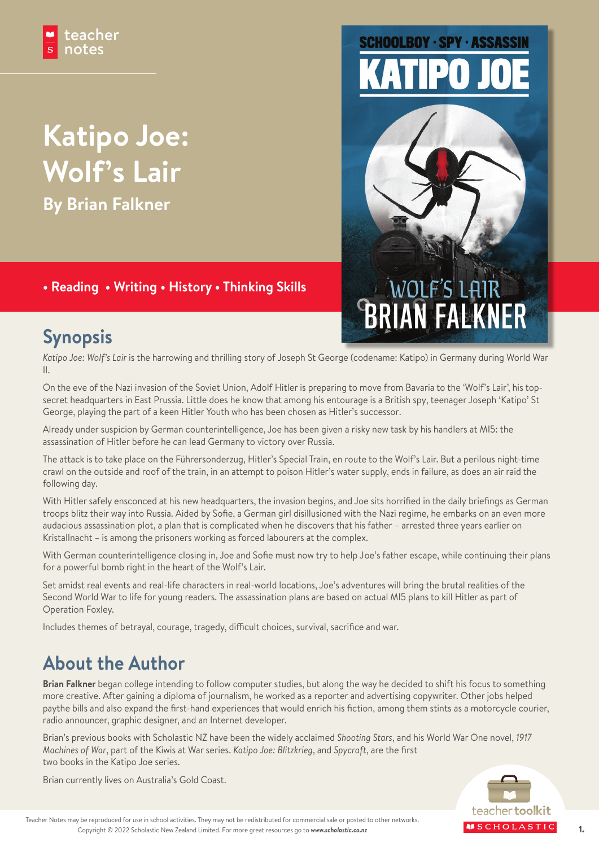# **Katipo Joe: Wolf's Lair**

**By Brian Falkner**

### **• Reading • Writing • History • Thinking Skills**

### **Synopsis**

*Katipo Joe: Wolf's Lair* is the harrowing and thrilling story of Joseph St George (codename: Katipo) in Germany during World War II.

WOLF'S LAIR

**BRIAN FALKNER** 

On the eve of the Nazi invasion of the Soviet Union, Adolf Hitler is preparing to move from Bavaria to the 'Wolf's Lair', his topsecret headquarters in East Prussia. Little does he know that among his entourage is a British spy, teenager Joseph 'Katipo' St George, playing the part of a keen Hitler Youth who has been chosen as Hitler's successor.

Already under suspicion by German counterintelligence, Joe has been given a risky new task by his handlers at MI5: the assassination of Hitler before he can lead Germany to victory over Russia.

The attack is to take place on the Führersonderzug, Hitler's Special Train, en route to the Wolf's Lair. But a perilous night-time crawl on the outside and roof of the train, in an attempt to poison Hitler's water supply, ends in failure, as does an air raid the following day.

With Hitler safely ensconced at his new headquarters, the invasion begins, and Joe sits horrified in the daily briefings as German troops blitz their way into Russia. Aided by Sofie, a German girl disillusioned with the Nazi regime, he embarks on an even more audacious assassination plot, a plan that is complicated when he discovers that his father – arrested three years earlier on Kristallnacht – is among the prisoners working as forced labourers at the complex.

With German counterintelligence closing in, Joe and Sofie must now try to help Joe's father escape, while continuing their plans for a powerful bomb right in the heart of the Wolf's Lair.

Set amidst real events and real-life characters in real-world locations, Joe's adventures will bring the brutal realities of the Second World War to life for young readers. The assassination plans are based on actual MI5 plans to kill Hitler as part of Operation Foxley.

Includes themes of betrayal, courage, tragedy, difficult choices, survival, sacrifice and war.

### **About the Author**

**Brian Falkner** began college intending to follow computer studies, but along the way he decided to shift his focus to something more creative. After gaining a diploma of journalism, he worked as a reporter and advertising copywriter. Other jobs helped paythe bills and also expand the first-hand experiences that would enrich his fiction, among them stints as a motorcycle courier, radio announcer, graphic designer, and an Internet developer.

Brian's previous books with Scholastic NZ have been the widely acclaimed *Shooting Stars*, and his World War One novel, *1917 Machines of War*, part of the Kiwis at War series. *Katipo Joe: Blitzkrieg*, and *Spycraft*, are the first two books in the Katipo Joe series.

Brian currently lives on Australia's Gold Coast.

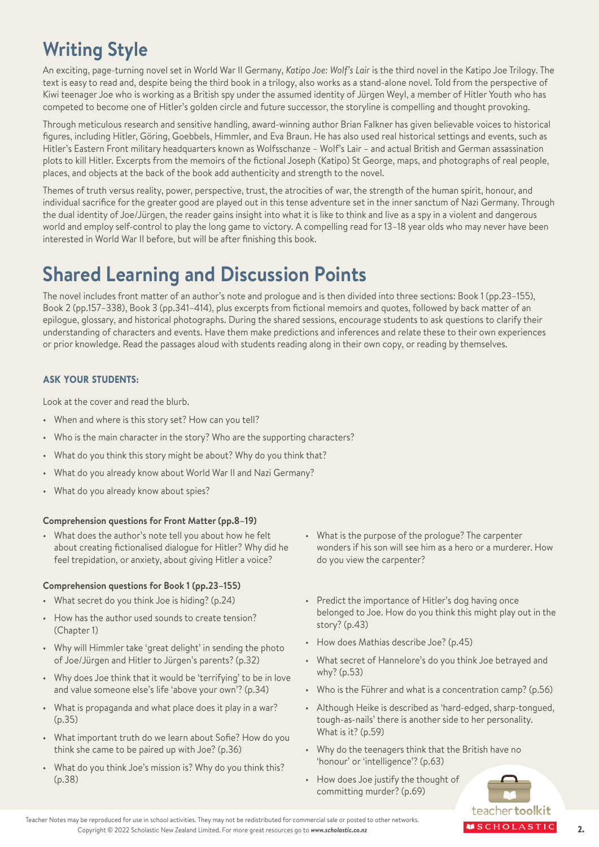## **Writing Style**

An exciting, page-turning novel set in World War II Germany, *Katipo Joe: Wolf's Lair* is the third novel in the Katipo Joe Trilogy. The text is easy to read and, despite being the third book in a trilogy, also works as a stand-alone novel. Told from the perspective of Kiwi teenager Joe who is working as a British spy under the assumed identity of Jürgen Weyl, a member of Hitler Youth who has competed to become one of Hitler's golden circle and future successor, the storyline is compelling and thought provoking.

Through meticulous research and sensitive handling, award-winning author Brian Falkner has given believable voices to historical figures, including Hitler, Göring, Goebbels, Himmler, and Eva Braun. He has also used real historical settings and events, such as Hitler's Eastern Front military headquarters known as Wolfsschanze – Wolf's Lair – and actual British and German assassination plots to kill Hitler. Excerpts from the memoirs of the fictional Joseph (Katipo) St George, maps, and photographs of real people, places, and objects at the back of the book add authenticity and strength to the novel.

Themes of truth versus reality, power, perspective, trust, the atrocities of war, the strength of the human spirit, honour, and individual sacrifice for the greater good are played out in this tense adventure set in the inner sanctum of Nazi Germany. Through the dual identity of Joe/Jürgen, the reader gains insight into what it is like to think and live as a spy in a violent and dangerous world and employ self-control to play the long game to victory. A compelling read for 13–18 year olds who may never have been interested in World War II before, but will be after finishing this book.

### **Shared Learning and Discussion Points**

The novel includes front matter of an author's note and prologue and is then divided into three sections: Book 1 (pp.23–155), Book 2 (pp.157–338), Book 3 (pp.341–414), plus excerpts from fictional memoirs and quotes, followed by back matter of an epilogue, glossary, and historical photographs. During the shared sessions, encourage students to ask questions to clarify their understanding of characters and events. Have them make predictions and inferences and relate these to their own experiences or prior knowledge. Read the passages aloud with students reading along in their own copy, or reading by themselves.

#### **ASK YOUR STUDENTS:**

Look at the cover and read the blurb.

- When and where is this story set? How can you tell?
- Who is the main character in the story? Who are the supporting characters?
- What do you think this story might be about? Why do you think that?
- What do you already know about World War II and Nazi Germany?
- What do you already know about spies?

#### **Comprehension questions for Front Matter (pp.8–19)**

• What does the author's note tell you about how he felt about creating fictionalised dialogue for Hitler? Why did he feel trepidation, or anxiety, about giving Hitler a voice?

#### **Comprehension questions for Book 1 (pp.23–155)**

- What secret do you think Joe is hiding? (p.24)
- How has the author used sounds to create tension? (Chapter 1)
- Why will Himmler take 'great delight' in sending the photo of Joe/Jürgen and Hitler to Jürgen's parents? (p.32)
- Why does Joe think that it would be 'terrifying' to be in love and value someone else's life 'above your own'? (p.34)
- What is propaganda and what place does it play in a war? (p.35)
- What important truth do we learn about Sofie? How do you think she came to be paired up with Joe? (p.36)
- What do you think Joe's mission is? Why do you think this? (p.38)
- What is the purpose of the prologue? The carpenter wonders if his son will see him as a hero or a murderer. How do you view the carpenter?
- Predict the importance of Hitler's dog having once belonged to Joe. How do you think this might play out in the story? (p.43)
- How does Mathias describe Joe? (p.45)
- What secret of Hannelore's do you think Joe betrayed and why? (p.53)
- Who is the Führer and what is a concentration camp? (p.56)
- Although Heike is described as 'hard-edged, sharp-tongued, tough-as-nails' there is another side to her personality. What is it? (p.59)
- Why do the teenagers think that the British have no 'honour' or 'intelligence'? (p.63)
- How does Joe justify the thought of committing murder? (p.69)



Teacher Notes may be reproduced for use in school activities. They may not be redistributed for commercial sale or posted to other networks. Copyright © 2022 Scholastic New Zealand Limited. For more great resources go to *www.scholastic.co.nz* 2. **2.** 2. **2.** 2. **2.** 2. **2.** 2. **2.** 2. **2.** 2. **2.** 2. **2.** 2. **2.** 2. **2.** 2. **2.** 2. **2.** 2. **2.** 2. **2.** 2. **2.**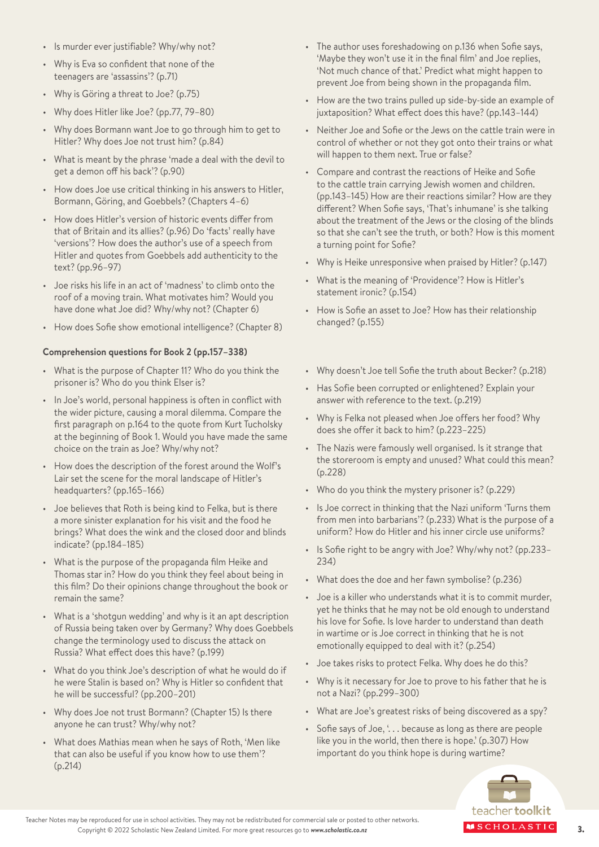- Is murder ever justifiable? Why/why not?
- Why is Eva so confident that none of the teenagers are 'assassins'? (p.71)
- Why is Göring a threat to Joe? (p.75)
- Why does Hitler like Joe? (pp.77, 79–80)
- Why does Bormann want Joe to go through him to get to Hitler? Why does Joe not trust him? (p.84)
- What is meant by the phrase 'made a deal with the devil to get a demon off his back'? (p.90)
- How does Joe use critical thinking in his answers to Hitler, Bormann, Göring, and Goebbels? (Chapters 4–6)
- How does Hitler's version of historic events differ from that of Britain and its allies? (p.96) Do 'facts' really have 'versions'? How does the author's use of a speech from Hitler and quotes from Goebbels add authenticity to the text? (pp.96–97)
- Joe risks his life in an act of 'madness' to climb onto the roof of a moving train. What motivates him? Would you have done what Joe did? Why/why not? (Chapter 6)
- How does Sofie show emotional intelligence? (Chapter 8)

#### **Comprehension questions for Book 2 (pp.157–338)**

- What is the purpose of Chapter 11? Who do you think the prisoner is? Who do you think Elser is?
- In Joe's world, personal happiness is often in conflict with the wider picture, causing a moral dilemma. Compare the first paragraph on p.164 to the quote from Kurt Tucholsky at the beginning of Book 1. Would you have made the same choice on the train as Joe? Why/why not?
- How does the description of the forest around the Wolf's Lair set the scene for the moral landscape of Hitler's headquarters? (pp.165–166)
- Joe believes that Roth is being kind to Felka, but is there a more sinister explanation for his visit and the food he brings? What does the wink and the closed door and blinds indicate? (pp.184–185)
- What is the purpose of the propaganda film Heike and Thomas star in? How do you think they feel about being in this film? Do their opinions change throughout the book or remain the same?
- What is a 'shotgun wedding' and why is it an apt description of Russia being taken over by Germany? Why does Goebbels change the terminology used to discuss the attack on Russia? What effect does this have? (p.199)
- What do you think Joe's description of what he would do if he were Stalin is based on? Why is Hitler so confident that he will be successful? (pp.200–201)
- Why does Joe not trust Bormann? (Chapter 15) Is there anyone he can trust? Why/why not?
- What does Mathias mean when he says of Roth, 'Men like that can also be useful if you know how to use them'? (p.214)
- The author uses foreshadowing on p.136 when Sofie says, 'Maybe they won't use it in the final film' and Joe replies, 'Not much chance of that.' Predict what might happen to prevent Joe from being shown in the propaganda film.
- How are the two trains pulled up side-by-side an example of juxtaposition? What effect does this have? (pp.143–144)
- Neither Joe and Sofie or the Jews on the cattle train were in control of whether or not they got onto their trains or what will happen to them next. True or false?
- Compare and contrast the reactions of Heike and Sofie to the cattle train carrying Jewish women and children. (pp.143–145) How are their reactions similar? How are they different? When Sofie says, 'That's inhumane' is she talking about the treatment of the Jews or the closing of the blinds so that she can't see the truth, or both? How is this moment a turning point for Sofie?
- Why is Heike unresponsive when praised by Hitler? (p.147)
- What is the meaning of 'Providence'? How is Hitler's statement ironic? (p.154)
- How is Sofie an asset to Joe? How has their relationship changed? (p.155)
- Why doesn't Joe tell Sofie the truth about Becker? (p.218)
- Has Sofie been corrupted or enlightened? Explain your answer with reference to the text. (p.219)
- Why is Felka not pleased when Joe offers her food? Why does she offer it back to him? (p.223–225)
- The Nazis were famously well organised. Is it strange that the storeroom is empty and unused? What could this mean? (p.228)
- Who do you think the mystery prisoner is? (p.229)
- Is Joe correct in thinking that the Nazi uniform 'Turns them from men into barbarians'? (p.233) What is the purpose of a uniform? How do Hitler and his inner circle use uniforms?
- Is Sofie right to be angry with Joe? Why/why not? (pp.233– 234)
- What does the doe and her fawn symbolise? (p.236)
- Joe is a killer who understands what it is to commit murder, yet he thinks that he may not be old enough to understand his love for Sofie. Is love harder to understand than death in wartime or is Joe correct in thinking that he is not emotionally equipped to deal with it? (p.254)
- Joe takes risks to protect Felka. Why does he do this?
- Why is it necessary for Joe to prove to his father that he is not a Nazi? (pp.299–300)
- What are Joe's greatest risks of being discovered as a spy?
- Sofie says of Joe, '... because as long as there are people like you in the world, then there is hope.' (p.307) How important do you think hope is during wartime?

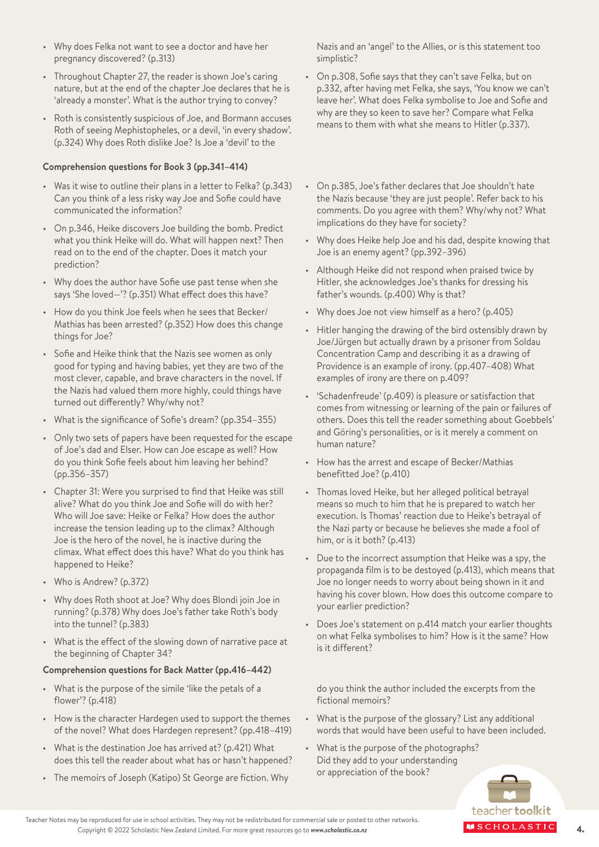- Why does Felka not want to see a doctor and have her pregnancy discovered? (p.313)
- Throughout Chapter 27, the reader is shown Joe's caring nature, but at the end of the chapter Joe declares that he is 'already a monster'. What is the author trying to convey?
- Roth is consistently suspicious of Joe, and Bormann accuses Roth of seeing Mephistopheles, or a devil, 'in every shadow'. (p.324) Why does Roth dislike Joe? Is Joe a 'devil' to the

#### **Comprehension questions for Book 3 (pp.341–414)**

- Was it wise to outline their plans in a letter to Felka? (p.343) Can you think of a less risky way Joe and Sofie could have communicated the information?
- On p.346, Heike discovers Joe building the bomb. Predict what you think Heike will do. What will happen next? Then read on to the end of the chapter. Does it match your prediction?
- Why does the author have Sofie use past tense when she says 'She loved—'? (p.351) What effect does this have?
- How do you think Joe feels when he sees that Becker/ Mathias has been arrested? (p.352) How does this change things for Joe?
- Sofie and Heike think that the Nazis see women as only good for typing and having babies, yet they are two of the most clever, capable, and brave characters in the novel. If the Nazis had valued them more highly, could things have turned out differently? Why/why not?
- What is the significance of Sofie's dream? (pp.354-355)
- Only two sets of papers have been requested for the escape of Joe's dad and Elser. How can Joe escape as well? How do you think Sofie feels about him leaving her behind? (pp.356–357)
- Chapter 31: Were you surprised to find that Heike was still alive? What do you think Joe and Sofie will do with her? Who will Joe save: Heike or Felka? How does the author increase the tension leading up to the climax? Although Joe is the hero of the novel, he is inactive during the climax. What effect does this have? What do you think has happened to Heike?
- Who is Andrew? (p.372)
- Why does Roth shoot at Joe? Why does Blondi join Joe in running? (p.378) Why does Joe's father take Roth's body into the tunnel? (p.383)
- What is the effect of the slowing down of narrative pace at the beginning of Chapter 34?

#### **Comprehension questions for Back Matter (pp.416–442)**

- What is the purpose of the simile 'like the petals of a flower'? (p.418)
- How is the character Hardegen used to support the themes of the novel? What does Hardegen represent? (pp.418–419)
- What is the destination Joe has arrived at? (p.421) What does this tell the reader about what has or hasn't happened?

Nazis and an 'angel' to the Allies, or is this statement too simplistic?

- On p.308, Sofie says that they can't save Felka, but on p.332, after having met Felka, she says, 'You know we can't leave her'. What does Felka symbolise to Joe and Sofie and why are they so keen to save her? Compare what Felka means to them with what she means to Hitler (p.337).
- On p.385, Joe's father declares that Joe shouldn't hate the Nazis because 'they are just people'. Refer back to his comments. Do you agree with them? Why/why not? What implications do they have for society?
- Why does Heike help Joe and his dad, despite knowing that Joe is an enemy agent? (pp.392–396)
- Although Heike did not respond when praised twice by Hitler, she acknowledges Joe's thanks for dressing his father's wounds. (p.400) Why is that?
- Why does Joe not view himself as a hero? (p.405)
- Hitler hanging the drawing of the bird ostensibly drawn by Joe/Jürgen but actually drawn by a prisoner from Soldau Concentration Camp and describing it as a drawing of Providence is an example of irony. (pp.407–408) What examples of irony are there on p.409?
- 'Schadenfreude' (p.409) is pleasure or satisfaction that comes from witnessing or learning of the pain or failures of others. Does this tell the reader something about Goebbels' and Göring's personalities, or is it merely a comment on human nature?
- How has the arrest and escape of Becker/Mathias benefitted Joe? (p.410)
- Thomas loved Heike, but her alleged political betrayal means so much to him that he is prepared to watch her execution. Is Thomas' reaction due to Heike's betrayal of the Nazi party or because he believes she made a fool of him, or is it both? (p.413)
- Due to the incorrect assumption that Heike was a spy, the propaganda film is to be destoyed (p.413), which means that Joe no longer needs to worry about being shown in it and having his cover blown. How does this outcome compare to your earlier prediction?
- Does Joe's statement on p.414 match your earlier thoughts on what Felka symbolises to him? How is it the same? How is it different?

do you think the author included the excerpts from the fictional memoirs?

- What is the purpose of the glossary? List any additional words that would have been useful to have been included.
- What is the purpose of the photographs? Did they add to your understanding or appreciation of the book?